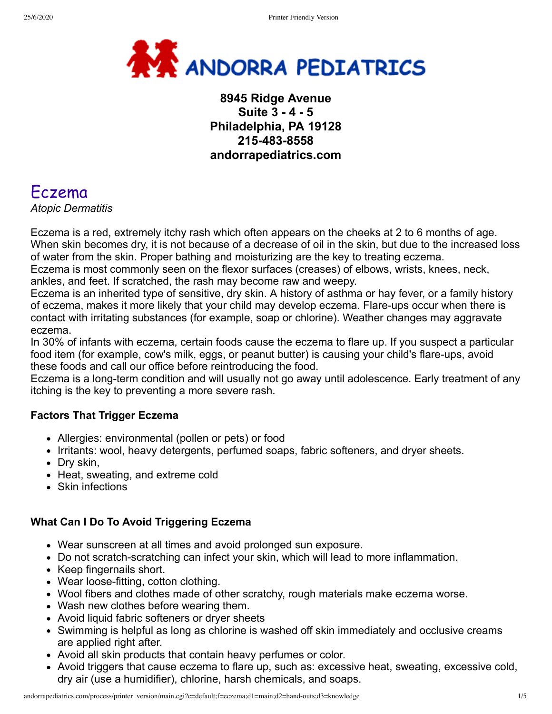

## **8945 Ridge Avenue Suite 3 - 4 - 5 Philadelphia, PA 19128 215-483-8558 andorrapediatrics.com**

# Eczema

*Atopic Dermatitis*

Eczema is a red, extremely itchy rash which often appears on the cheeks at 2 to 6 months of age. When skin becomes dry, it is not because of a decrease of oil in the skin, but due to the increased loss of water from the skin. Proper bathing and moisturizing are the key to treating eczema.

Eczema is most commonly seen on the flexor surfaces (creases) of elbows, wrists, knees, neck, ankles, and feet. If scratched, the rash may become raw and weepy.

Eczema is an inherited type of sensitive, dry skin. A history of asthma or hay fever, or a family history of eczema, makes it more likely that your child may develop eczema. Flare-ups occur when there is contact with irritating substances (for example, soap or chlorine). Weather changes may aggravate eczema.

In 30% of infants with eczema, certain foods cause the eczema to flare up. If you suspect a particular food item (for example, cow's milk, eggs, or peanut butter) is causing your child's flare-ups, avoid these foods and call our office before reintroducing the food.

Eczema is a long-term condition and will usually not go away until adolescence. Early treatment of any itching is the key to preventing a more severe rash.

#### **Factors That Trigger Eczema**

- Allergies: environmental (pollen or pets) or food
- Irritants: wool, heavy detergents, perfumed soaps, fabric softeners, and dryer sheets.
- Dry skin,
- Heat, sweating, and extreme cold
- Skin infections

#### **What Can I Do To Avoid Triggering Eczema**

- Wear sunscreen at all times and avoid prolonged sun exposure.
- Do not scratch-scratching can infect your skin, which will lead to more inflammation.
- Keep fingernails short.
- Wear loose-fitting, cotton clothing.
- Wool fibers and clothes made of other scratchy, rough materials make eczema worse.
- Wash new clothes before wearing them.
- Avoid liquid fabric softeners or dryer sheets
- Swimming is helpful as long as chlorine is washed off skin immediately and occlusive creams are applied right after.
- Avoid all skin products that contain heavy perfumes or color.
- Avoid triggers that cause eczema to flare up, such as: excessive heat, sweating, excessive cold, dry air (use a humidifier), chlorine, harsh chemicals, and soaps.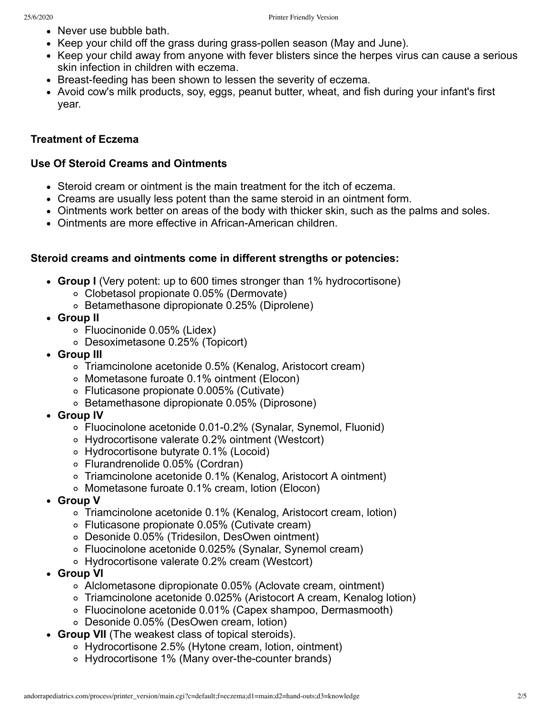- Never use bubble bath.
- Keep your child off the grass during grass-pollen season (May and June).
- Keep your child away from anyone with fever blisters since the herpes virus can cause a serious skin infection in children with eczema.
- Breast-feeding has been shown to lessen the severity of eczema.
- Avoid cow's milk products, soy, eggs, peanut butter, wheat, and fish during your infant's first year.

#### **Treatment of Eczema**

#### **Use Of Steroid Creams and Ointments**

- Steroid cream or ointment is the main treatment for the itch of eczema.
- Creams are usually less potent than the same steroid in an ointment form.
- Ointments work better on areas of the body with thicker skin, such as the palms and soles.
- Ointments are more effective in African-American children.

#### **Steroid creams and ointments come in different strengths or potencies:**

- **Group I** (Very potent: up to 600 times stronger than 1% hydrocortisone)
	- Clobetasol propionate 0.05% (Dermovate)
	- Betamethasone dipropionate 0.25% (Diprolene)
- **Group II**
	- Fluocinonide 0.05% (Lidex)
	- Desoximetasone 0.25% (Topicort)
- **Group III**
	- Triamcinolone acetonide 0.5% (Kenalog, Aristocort cream)
	- Mometasone furoate 0.1% ointment (Elocon)
	- Fluticasone propionate 0.005% (Cutivate)
	- Betamethasone dipropionate 0.05% (Diprosone)
- **Group IV**
	- Fluocinolone acetonide 0.01-0.2% (Synalar, Synemol, Fluonid)
	- Hydrocortisone valerate 0.2% ointment (Westcort)
	- Hydrocortisone butyrate 0.1% (Locoid)
	- Flurandrenolide 0.05% (Cordran)
	- Triamcinolone acetonide 0.1% (Kenalog, Aristocort A ointment)
	- Mometasone furoate 0.1% cream, lotion (Elocon)
- **Group V**
	- Triamcinolone acetonide 0.1% (Kenalog, Aristocort cream, lotion)
	- Fluticasone propionate 0.05% (Cutivate cream)
	- Desonide 0.05% (Tridesilon, DesOwen ointment)
	- Fluocinolone acetonide 0.025% (Synalar, Synemol cream)
	- Hydrocortisone valerate 0.2% cream (Westcort)
- **Group VI**
	- Alclometasone dipropionate 0.05% (Aclovate cream, ointment)
	- Triamcinolone acetonide 0.025% (Aristocort A cream, Kenalog lotion)
	- Fluocinolone acetonide 0.01% (Capex shampoo, Dermasmooth)
	- Desonide 0.05% (DesOwen cream, lotion)
- **Group VII** (The weakest class of topical steroids).
	- Hydrocortisone 2.5% (Hytone cream, lotion, ointment)
	- Hydrocortisone 1% (Many over-the-counter brands)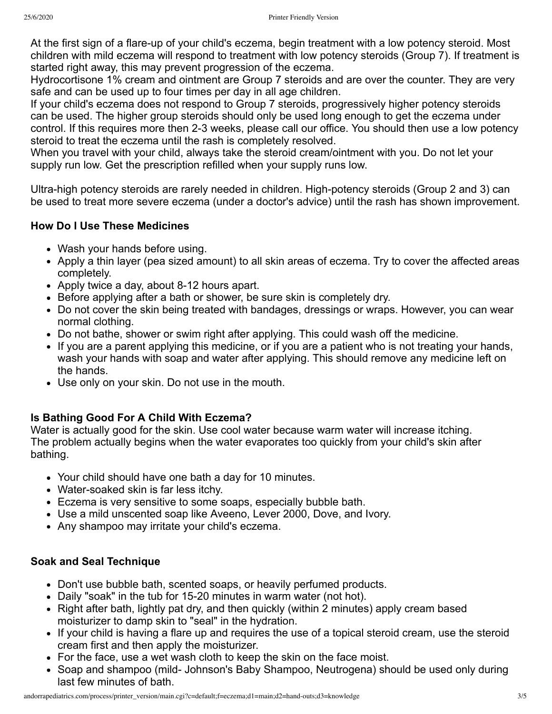At the first sign of a flare-up of your child's eczema, begin treatment with a low potency steroid. Most children with mild eczema will respond to treatment with low potency steroids (Group 7). If treatment is started right away, this may prevent progression of the eczema.

Hydrocortisone 1% cream and ointment are Group 7 steroids and are over the counter. They are very safe and can be used up to four times per day in all age children.

If your child's eczema does not respond to Group 7 steroids, progressively higher potency steroids can be used. The higher group steroids should only be used long enough to get the eczema under control. If this requires more then 2-3 weeks, please call our office. You should then use a low potency steroid to treat the eczema until the rash is completely resolved.

When you travel with your child, always take the steroid cream/ointment with you. Do not let your supply run low. Get the prescription refilled when your supply runs low.

Ultra-high potency steroids are rarely needed in children. High-potency steroids (Group 2 and 3) can be used to treat more severe eczema (under a doctor's advice) until the rash has shown improvement.

#### **How Do I Use These Medicines**

- Wash your hands before using.
- Apply a thin layer (pea sized amount) to all skin areas of eczema. Try to cover the affected areas completely.
- Apply twice a day, about 8-12 hours apart.
- Before applying after a bath or shower, be sure skin is completely dry.
- Do not cover the skin being treated with bandages, dressings or wraps. However, you can wear normal clothing.
- Do not bathe, shower or swim right after applying. This could wash off the medicine.
- If you are a parent applying this medicine, or if you are a patient who is not treating your hands, wash your hands with soap and water after applying. This should remove any medicine left on the hands.
- Use only on your skin. Do not use in the mouth.

#### **Is Bathing Good For A Child With Eczema?**

Water is actually good for the skin. Use cool water because warm water will increase itching. The problem actually begins when the water evaporates too quickly from your child's skin after bathing.

- Your child should have one bath a day for 10 minutes.
- Water-soaked skin is far less itchy.
- Eczema is very sensitive to some soaps, especially bubble bath.
- Use a mild unscented soap like Aveeno, Lever 2000, Dove, and Ivory.
- Any shampoo may irritate your child's eczema.

#### **Soak and Seal Technique**

- Don't use bubble bath, scented soaps, or heavily perfumed products.
- Daily "soak" in the tub for 15-20 minutes in warm water (not hot).
- Right after bath, lightly pat dry, and then quickly (within 2 minutes) apply cream based moisturizer to damp skin to "seal" in the hydration.
- If your child is having a flare up and requires the use of a topical steroid cream, use the steroid cream first and then apply the moisturizer.
- For the face, use a wet wash cloth to keep the skin on the face moist.
- Soap and shampoo (mild- Johnson's Baby Shampoo, Neutrogena) should be used only during last few minutes of bath.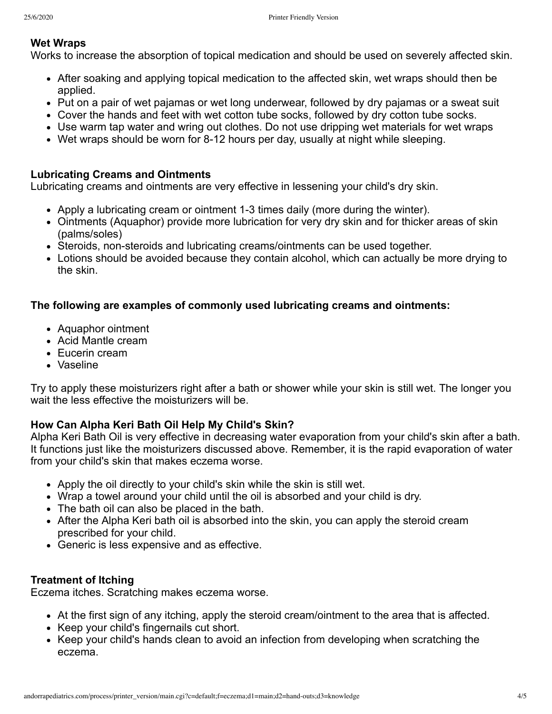#### **Wet Wraps**

Works to increase the absorption of topical medication and should be used on severely affected skin.

- After soaking and applying topical medication to the affected skin, wet wraps should then be applied.
- Put on a pair of wet pajamas or wet long underwear, followed by dry pajamas or a sweat suit
- Cover the hands and feet with wet cotton tube socks, followed by dry cotton tube socks.
- Use warm tap water and wring out clothes. Do not use dripping wet materials for wet wraps
- Wet wraps should be worn for 8-12 hours per day, usually at night while sleeping.

#### **Lubricating Creams and Ointments**

Lubricating creams and ointments are very effective in lessening your child's dry skin.

- Apply a lubricating cream or ointment 1-3 times daily (more during the winter).
- Ointments (Aquaphor) provide more lubrication for very dry skin and for thicker areas of skin (palms/soles)
- Steroids, non-steroids and lubricating creams/ointments can be used together.
- Lotions should be avoided because they contain alcohol, which can actually be more drying to the skin.

#### **The following are examples of commonly used Iubricating creams and ointments:**

- Aquaphor ointment
- Acid Mantle cream
- Eucerin cream
- Vaseline

Try to apply these moisturizers right after a bath or shower while your skin is still wet. The longer you wait the less effective the moisturizers will be.

#### **How Can Alpha Keri Bath Oil Help My Child's Skin?**

Alpha Keri Bath Oil is very effective in decreasing water evaporation from your child's skin after a bath. It functions just like the moisturizers discussed above. Remember, it is the rapid evaporation of water from your child's skin that makes eczema worse.

- Apply the oil directly to your child's skin while the skin is still wet.
- Wrap a towel around your child until the oil is absorbed and your child is dry.
- The bath oil can also be placed in the bath.
- After the Alpha Keri bath oil is absorbed into the skin, you can apply the steroid cream prescribed for your child.
- Generic is less expensive and as effective.

#### **Treatment of Itching**

Eczema itches. Scratching makes eczema worse.

- At the first sign of any itching, apply the steroid cream/ointment to the area that is affected.
- Keep your child's fingernails cut short.
- Keep your child's hands clean to avoid an infection from developing when scratching the eczema.